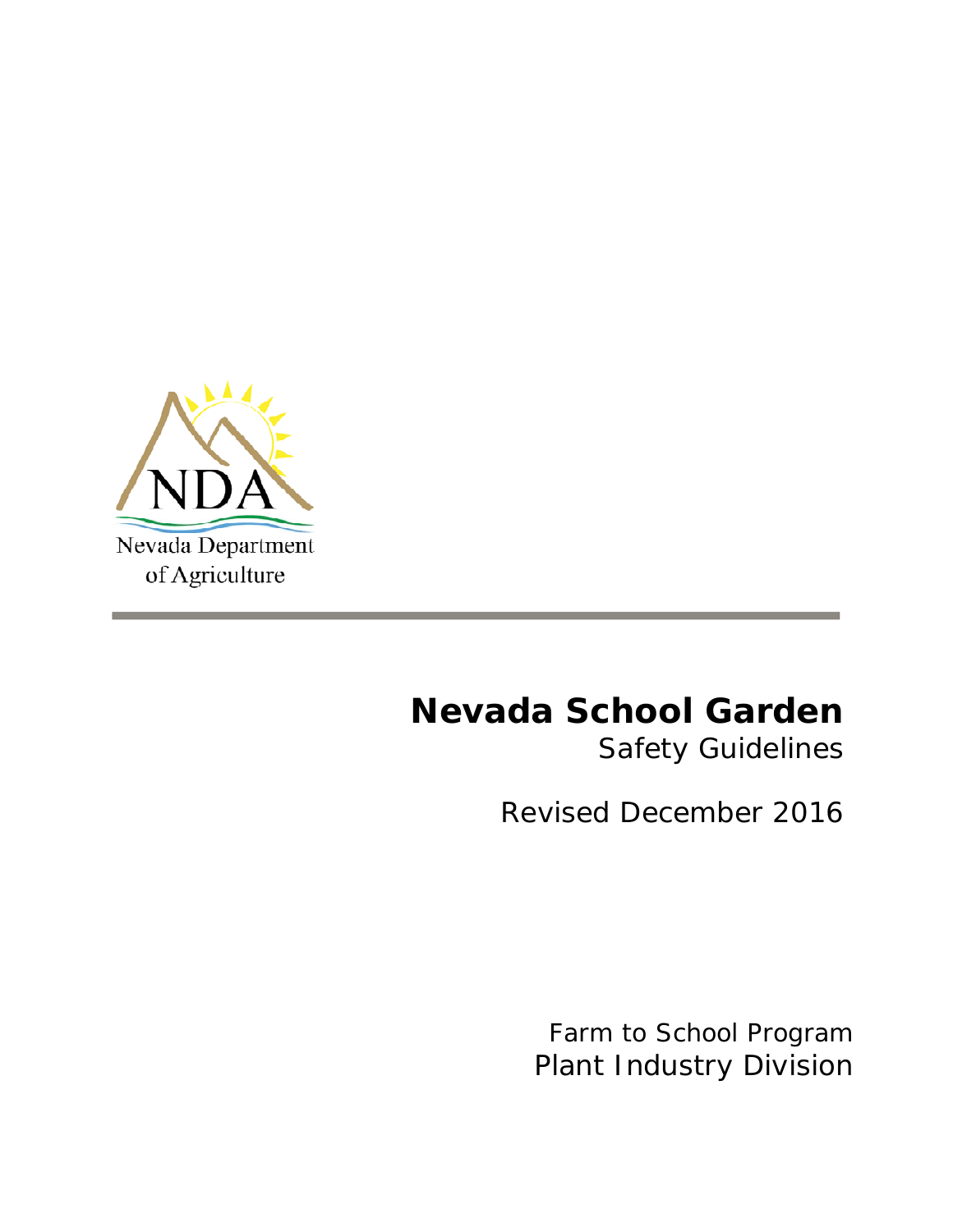

# **Nevada School Garden**

*Safety Guidelines*

Revised December 2016

Farm to School Program *Plant Industry Division*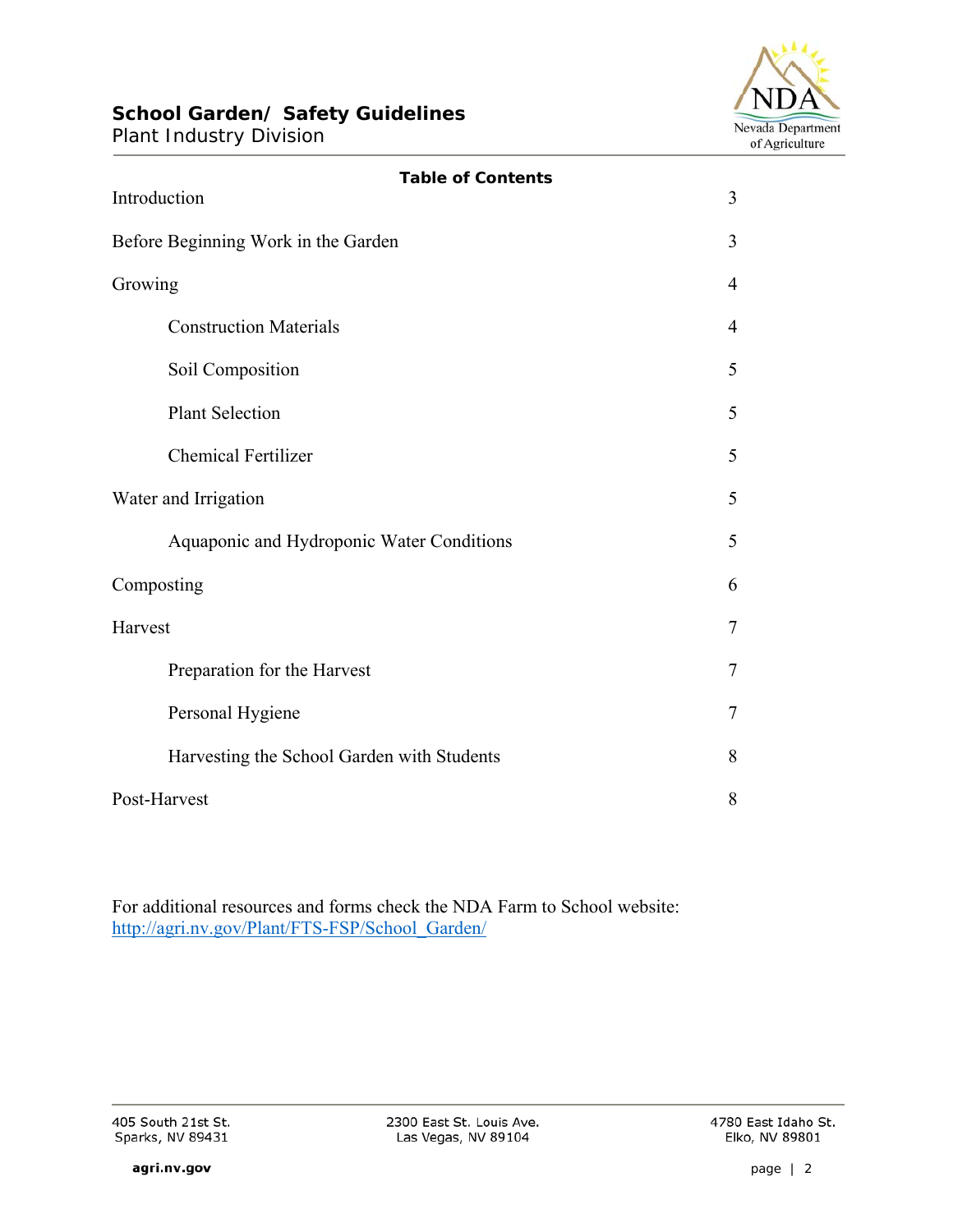# **School Garden/ Safety Guidelines**

Plant Industry Division



| <b>Table of Contents</b><br>Introduction   | 3 |
|--------------------------------------------|---|
| Before Beginning Work in the Garden        | 3 |
| Growing                                    | 4 |
| <b>Construction Materials</b>              | 4 |
| Soil Composition                           | 5 |
| <b>Plant Selection</b>                     | 5 |
| <b>Chemical Fertilizer</b>                 | 5 |
| Water and Irrigation                       | 5 |
| Aquaponic and Hydroponic Water Conditions  | 5 |
| Composting                                 | 6 |
| Harvest                                    | 7 |
| Preparation for the Harvest                | 7 |
| Personal Hygiene                           | 7 |
| Harvesting the School Garden with Students | 8 |
| Post-Harvest                               | 8 |

For additional resources and forms check the NDA Farm to School website: http://agri.nv.gov/Plant/FTS-FSP/School\_Garden/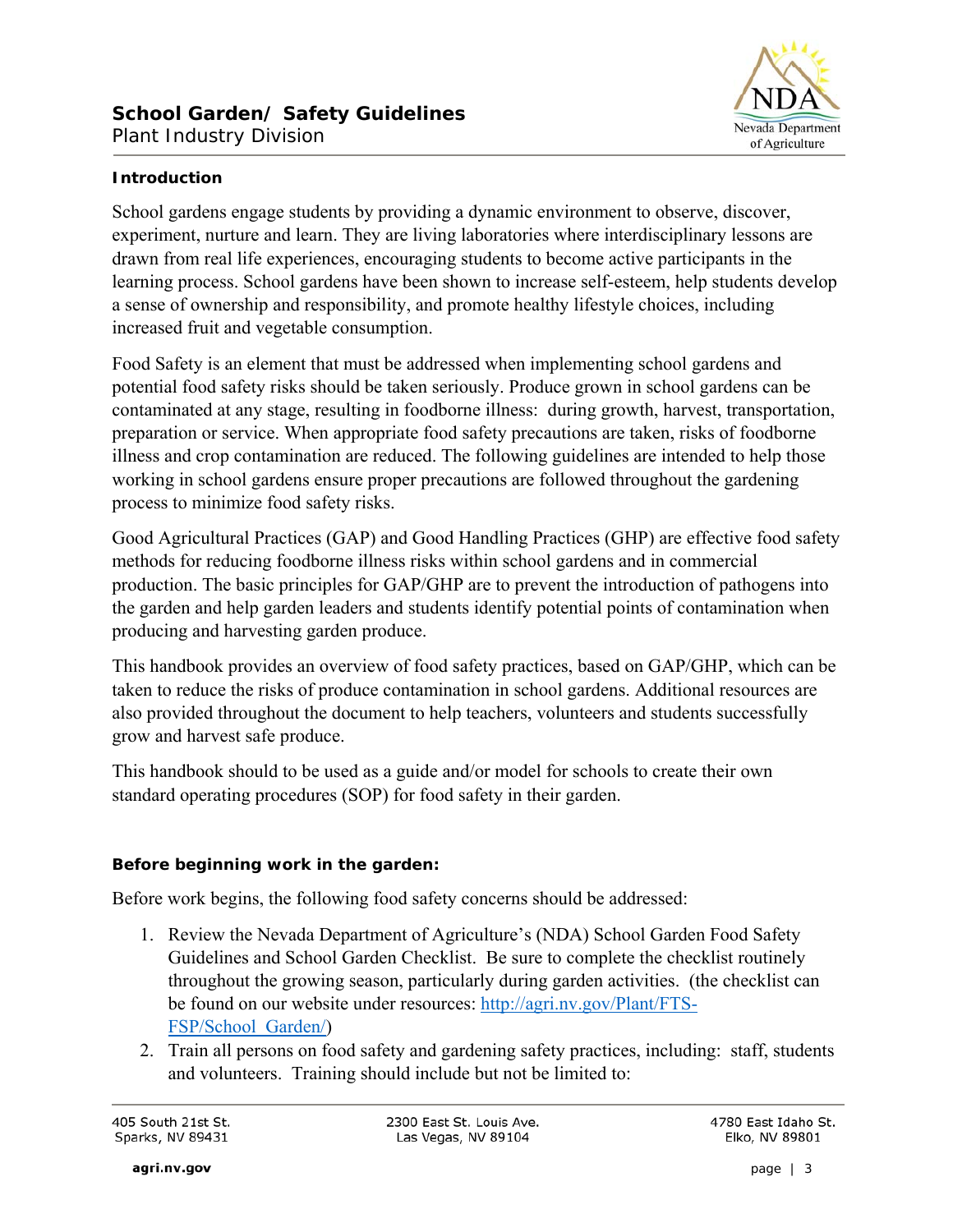

# **Introduction**

School gardens engage students by providing a dynamic environment to observe, discover, experiment, nurture and learn. They are living laboratories where interdisciplinary lessons are drawn from real life experiences, encouraging students to become active participants in the learning process. School gardens have been shown to increase self-esteem, help students develop a sense of ownership and responsibility, and promote healthy lifestyle choices, including increased fruit and vegetable consumption.

Food Safety is an element that must be addressed when implementing school gardens and potential food safety risks should be taken seriously. Produce grown in school gardens can be contaminated at any stage, resulting in foodborne illness: during growth, harvest, transportation, preparation or service. When appropriate food safety precautions are taken, risks of foodborne illness and crop contamination are reduced. The following guidelines are intended to help those working in school gardens ensure proper precautions are followed throughout the gardening process to minimize food safety risks.

Good Agricultural Practices (GAP) and Good Handling Practices (GHP) are effective food safety methods for reducing foodborne illness risks within school gardens and in commercial production. The basic principles for GAP/GHP are to prevent the introduction of pathogens into the garden and help garden leaders and students identify potential points of contamination when producing and harvesting garden produce.

This handbook provides an overview of food safety practices, based on GAP/GHP, which can be taken to reduce the risks of produce contamination in school gardens. Additional resources are also provided throughout the document to help teachers, volunteers and students successfully grow and harvest safe produce.

This handbook should to be used as a guide and/or model for schools to create their own standard operating procedures (SOP) for food safety in their garden.

# **Before beginning work in the garden:**

Before work begins, the following food safety concerns should be addressed:

- 1. Review the Nevada Department of Agriculture's (NDA) School Garden Food Safety Guidelines and School Garden Checklist. Be sure to complete the checklist routinely throughout the growing season, particularly during garden activities. (the checklist can be found on our website under resources: http://agri.nv.gov/Plant/FTS-FSP/School\_Garden/)
- 2. Train all persons on food safety and gardening safety practices, including: staff, students and volunteers. Training should include but not be limited to: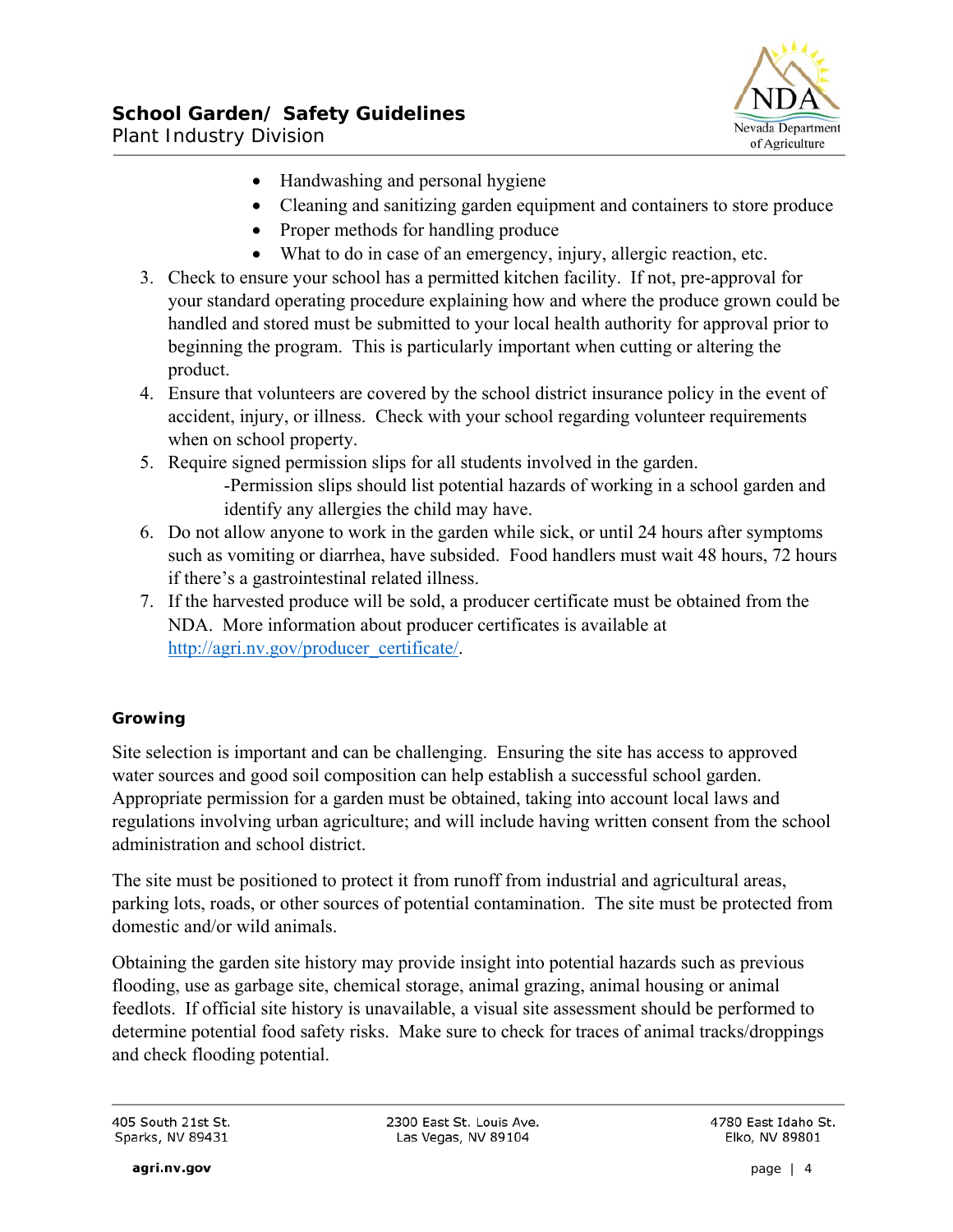

- Handwashing and personal hygiene
- Cleaning and sanitizing garden equipment and containers to store produce
- Proper methods for handling produce
- What to do in case of an emergency, injury, allergic reaction, etc.
- 3. Check to ensure your school has a permitted kitchen facility. If not, pre-approval for your standard operating procedure explaining how and where the produce grown could be handled and stored must be submitted to your local health authority for approval prior to beginning the program. This is particularly important when cutting or altering the product.
- 4. Ensure that volunteers are covered by the school district insurance policy in the event of accident, injury, or illness. Check with your school regarding volunteer requirements when on school property.
- 5. Require signed permission slips for all students involved in the garden. -Permission slips should list potential hazards of working in a school garden and identify any allergies the child may have.
- 6. Do not allow anyone to work in the garden while sick, or until 24 hours after symptoms such as vomiting or diarrhea, have subsided. Food handlers must wait 48 hours, 72 hours if there's a gastrointestinal related illness.
- 7. If the harvested produce will be sold, a producer certificate must be obtained from the NDA. More information about producer certificates is available at http://agri.nv.gov/producer\_certificate/.

# **Growing**

Site selection is important and can be challenging. Ensuring the site has access to approved water sources and good soil composition can help establish a successful school garden. Appropriate permission for a garden must be obtained, taking into account local laws and regulations involving urban agriculture; and will include having written consent from the school administration and school district.

The site must be positioned to protect it from runoff from industrial and agricultural areas, parking lots, roads, or other sources of potential contamination. The site must be protected from domestic and/or wild animals.

Obtaining the garden site history may provide insight into potential hazards such as previous flooding, use as garbage site, chemical storage, animal grazing, animal housing or animal feedlots. If official site history is unavailable, a visual site assessment should be performed to determine potential food safety risks. Make sure to check for traces of animal tracks/droppings and check flooding potential.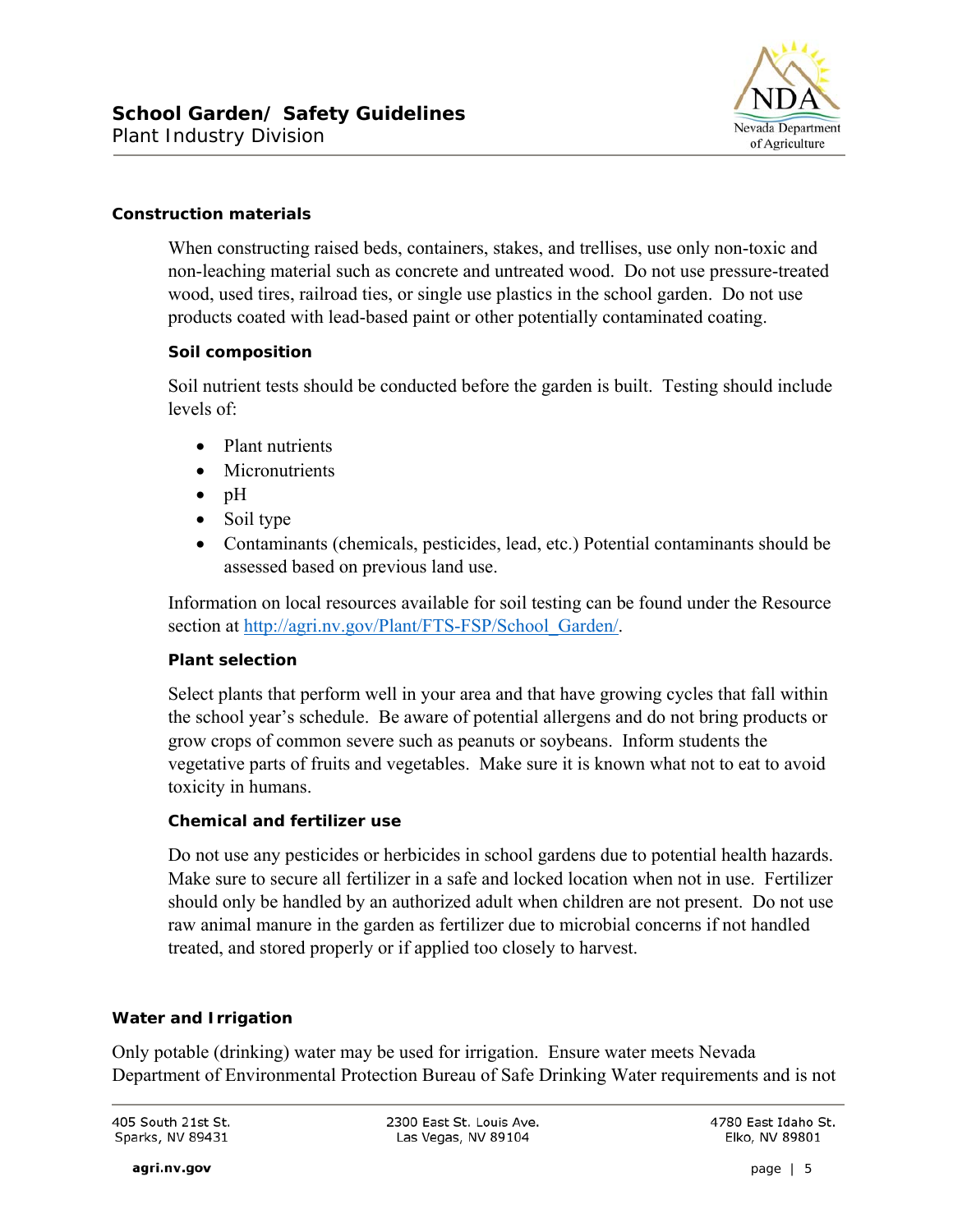

#### **Construction materials**

When constructing raised beds, containers, stakes, and trellises, use only non-toxic and non-leaching material such as concrete and untreated wood. Do not use pressure-treated wood, used tires, railroad ties, or single use plastics in the school garden. Do not use products coated with lead-based paint or other potentially contaminated coating.

#### **Soil composition**

Soil nutrient tests should be conducted before the garden is built. Testing should include levels of:

- Plant nutrients
- Micronutrients
- $\bullet$  pH
- Soil type
- Contaminants (chemicals, pesticides, lead, etc.) Potential contaminants should be assessed based on previous land use.

Information on local resources available for soil testing can be found under the Resource section at http://agri.nv.gov/Plant/FTS-FSP/School\_Garden/.

#### **Plant selection**

Select plants that perform well in your area and that have growing cycles that fall within the school year's schedule. Be aware of potential allergens and do not bring products or grow crops of common severe such as peanuts or soybeans. Inform students the vegetative parts of fruits and vegetables. Make sure it is known what not to eat to avoid toxicity in humans.

#### **Chemical and fertilizer use**

Do not use any pesticides or herbicides in school gardens due to potential health hazards. Make sure to secure all fertilizer in a safe and locked location when not in use. Fertilizer should only be handled by an authorized adult when children are not present. Do not use raw animal manure in the garden as fertilizer due to microbial concerns if not handled treated, and stored properly or if applied too closely to harvest.

#### **Water and Irrigation**

Only potable (drinking) water may be used for irrigation. Ensure water meets Nevada Department of Environmental Protection Bureau of Safe Drinking Water requirements and is not

405 South 21st St. Sparks, NV 89431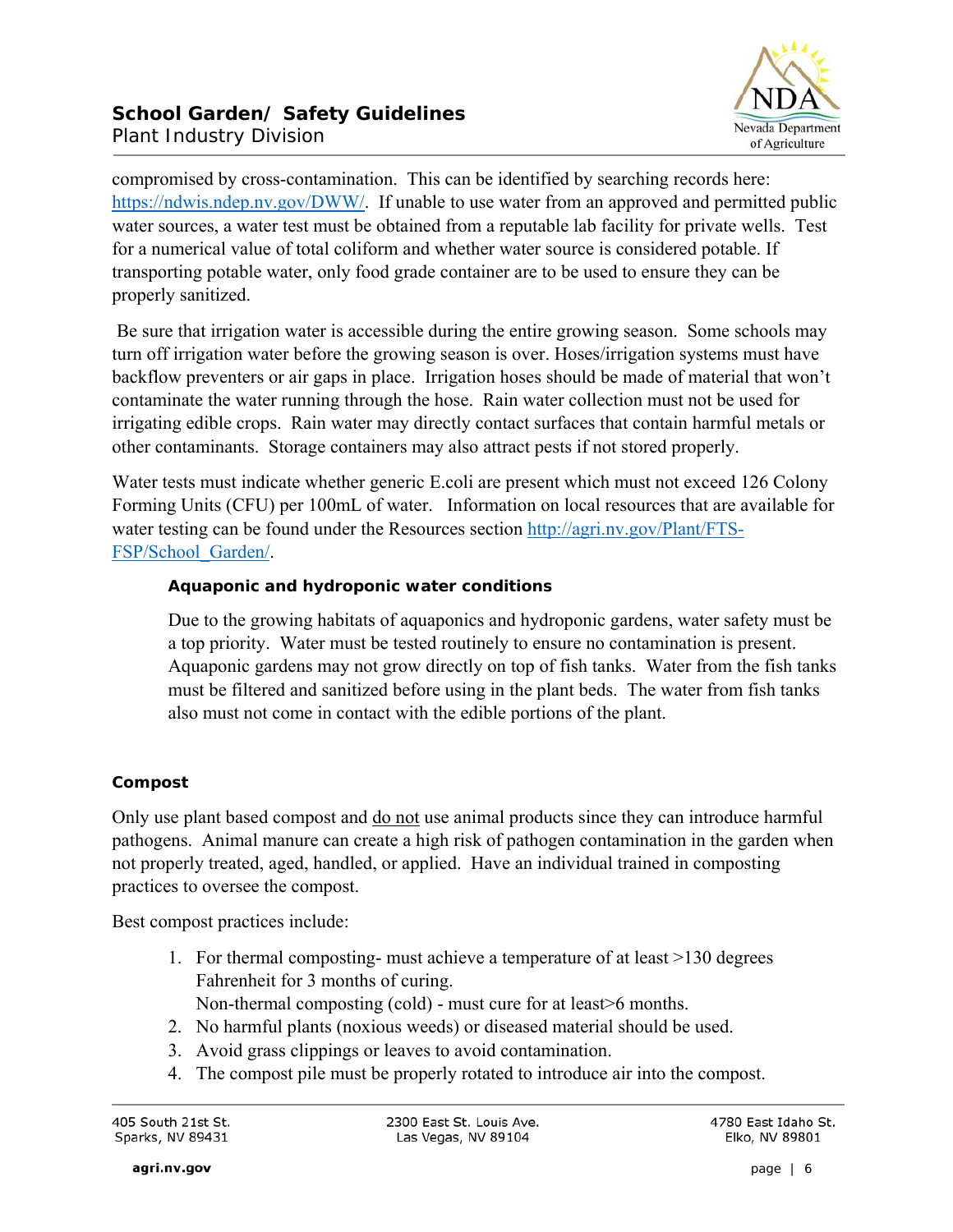

compromised by cross-contamination. This can be identified by searching records here: https://ndwis.ndep.nv.gov/DWW/. If unable to use water from an approved and permitted public water sources, a water test must be obtained from a reputable lab facility for private wells. Test for a numerical value of total coliform and whether water source is considered potable. If transporting potable water, only food grade container are to be used to ensure they can be properly sanitized.

 Be sure that irrigation water is accessible during the entire growing season. Some schools may turn off irrigation water before the growing season is over. Hoses/irrigation systems must have backflow preventers or air gaps in place. Irrigation hoses should be made of material that won't contaminate the water running through the hose. Rain water collection must not be used for irrigating edible crops. Rain water may directly contact surfaces that contain harmful metals or other contaminants. Storage containers may also attract pests if not stored properly.

Water tests must indicate whether generic E.coli are present which must not exceed 126 Colony Forming Units (CFU) per 100mL of water. Information on local resources that are available for water testing can be found under the Resources section http://agri.nv.gov/Plant/FTS-FSP/School\_Garden/.

### **Aquaponic and hydroponic water conditions**

Due to the growing habitats of aquaponics and hydroponic gardens, water safety must be a top priority. Water must be tested routinely to ensure no contamination is present. Aquaponic gardens may not grow directly on top of fish tanks. Water from the fish tanks must be filtered and sanitized before using in the plant beds. The water from fish tanks also must not come in contact with the edible portions of the plant.

#### **Compost**

Only use plant based compost and do not use animal products since they can introduce harmful pathogens. Animal manure can create a high risk of pathogen contamination in the garden when not properly treated, aged, handled, or applied. Have an individual trained in composting practices to oversee the compost.

Best compost practices include:

1. For thermal composting- must achieve a temperature of at least >130 degrees Fahrenheit for 3 months of curing.

Non-thermal composting (cold) - must cure for at least>6 months.

- 2. No harmful plants (noxious weeds) or diseased material should be used.
- 3. Avoid grass clippings or leaves to avoid contamination.
- 4. The compost pile must be properly rotated to introduce air into the compost.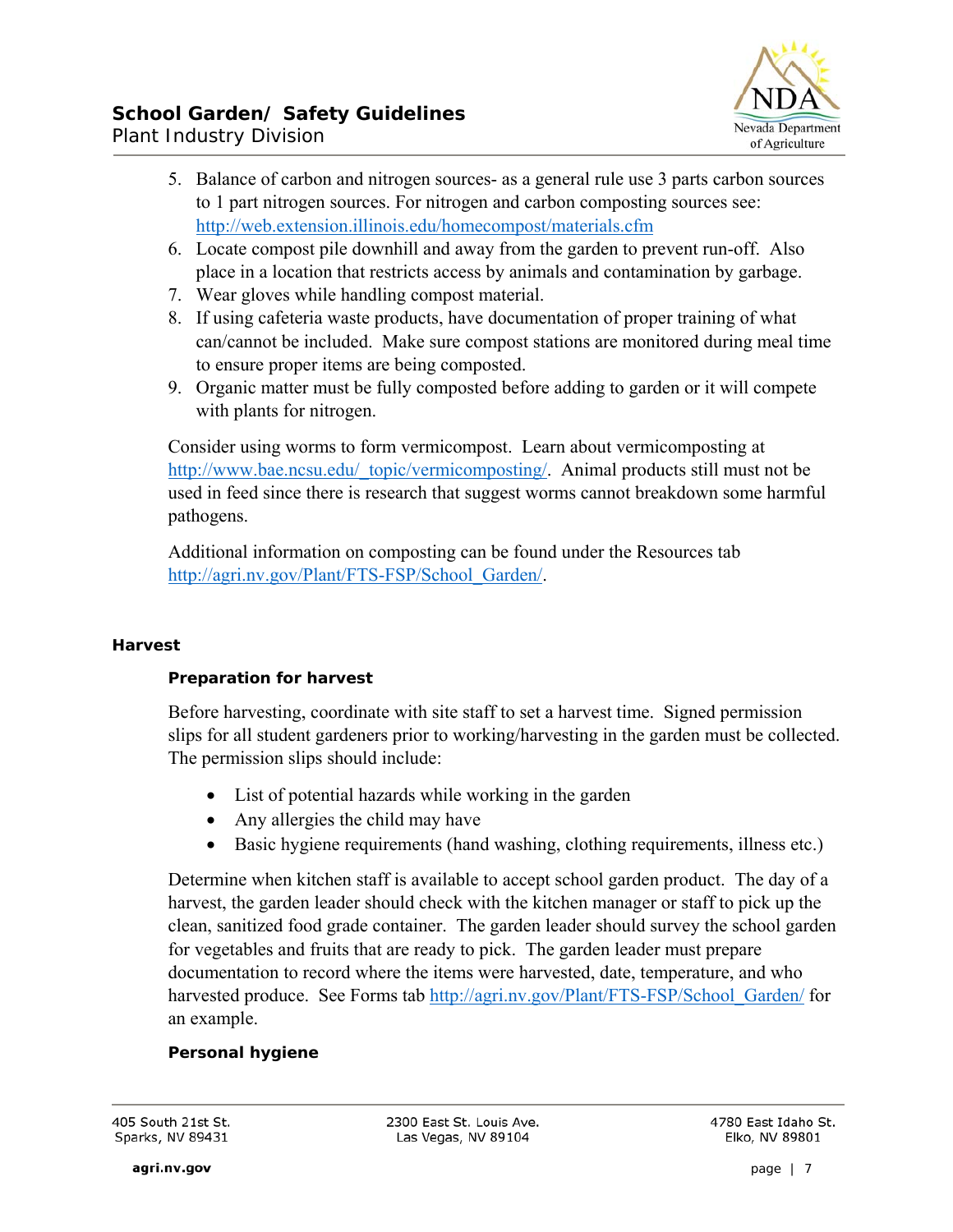

- Plant Industry Division
	- 5. Balance of carbon and nitrogen sources- as a general rule use 3 parts carbon sources to 1 part nitrogen sources. For nitrogen and carbon composting sources see: http://web.extension.illinois.edu/homecompost/materials.cfm
	- 6. Locate compost pile downhill and away from the garden to prevent run-off. Also place in a location that restricts access by animals and contamination by garbage.
	- 7. Wear gloves while handling compost material.
	- 8. If using cafeteria waste products, have documentation of proper training of what can/cannot be included. Make sure compost stations are monitored during meal time to ensure proper items are being composted.
	- 9. Organic matter must be fully composted before adding to garden or it will compete with plants for nitrogen.

Consider using worms to form vermicompost. Learn about vermicomposting at http://www.bae.ncsu.edu/\_topic/vermicomposting/. Animal products still must not be used in feed since there is research that suggest worms cannot breakdown some harmful pathogens.

Additional information on composting can be found under the Resources tab http://agri.nv.gov/Plant/FTS-FSP/School\_Garden/.

# **Harvest**

# **Preparation for harvest**

Before harvesting, coordinate with site staff to set a harvest time. Signed permission slips for all student gardeners prior to working/harvesting in the garden must be collected. The permission slips should include:

- List of potential hazards while working in the garden
- Any allergies the child may have
- Basic hygiene requirements (hand washing, clothing requirements, illness etc.)

Determine when kitchen staff is available to accept school garden product. The day of a harvest, the garden leader should check with the kitchen manager or staff to pick up the clean, sanitized food grade container. The garden leader should survey the school garden for vegetables and fruits that are ready to pick. The garden leader must prepare documentation to record where the items were harvested, date, temperature, and who harvested produce. See Forms tab http://agri.nv.gov/Plant/FTS-FSP/School\_Garden/ for an example.

# **Personal hygiene**

405 South 21st St. Sparks, NV 89431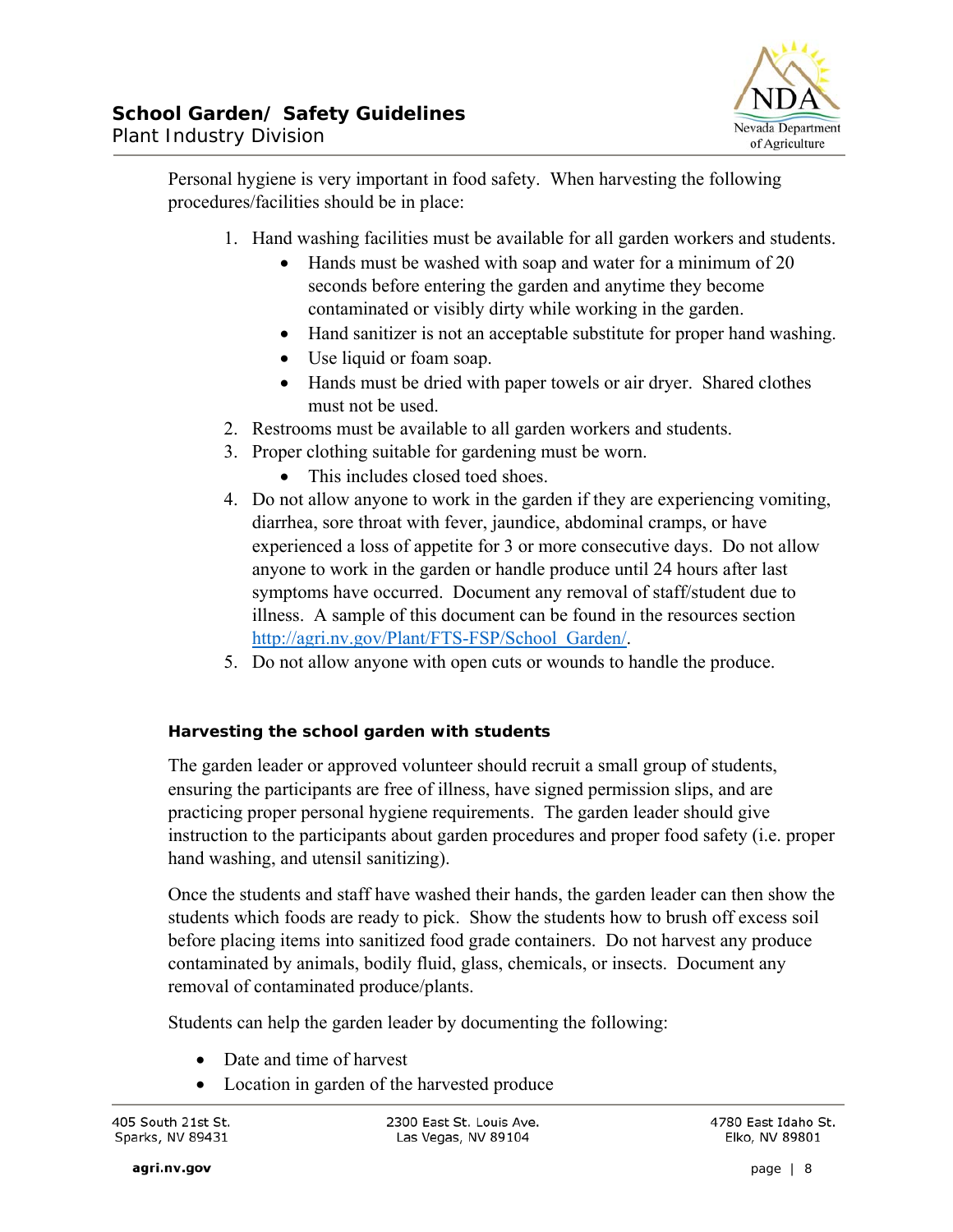

Personal hygiene is very important in food safety. When harvesting the following procedures/facilities should be in place:

- 1. Hand washing facilities must be available for all garden workers and students.
	- Hands must be washed with soap and water for a minimum of 20 seconds before entering the garden and anytime they become contaminated or visibly dirty while working in the garden.
	- Hand sanitizer is not an acceptable substitute for proper hand washing.
	- Use liquid or foam soap.
	- Hands must be dried with paper towels or air dryer. Shared clothes must not be used.
- 2. Restrooms must be available to all garden workers and students.
- 3. Proper clothing suitable for gardening must be worn.
	- This includes closed toed shoes.
- 4. Do not allow anyone to work in the garden if they are experiencing vomiting, diarrhea, sore throat with fever, jaundice, abdominal cramps, or have experienced a loss of appetite for 3 or more consecutive days. Do not allow anyone to work in the garden or handle produce until 24 hours after last symptoms have occurred. Document any removal of staff/student due to illness. A sample of this document can be found in the resources section http://agri.nv.gov/Plant/FTS-FSP/School\_Garden/.
- 5. Do not allow anyone with open cuts or wounds to handle the produce.

# **Harvesting the school garden with students**

The garden leader or approved volunteer should recruit a small group of students, ensuring the participants are free of illness, have signed permission slips, and are practicing proper personal hygiene requirements. The garden leader should give instruction to the participants about garden procedures and proper food safety (i.e. proper hand washing, and utensil sanitizing).

Once the students and staff have washed their hands, the garden leader can then show the students which foods are ready to pick. Show the students how to brush off excess soil before placing items into sanitized food grade containers. Do not harvest any produce contaminated by animals, bodily fluid, glass, chemicals, or insects. Document any removal of contaminated produce/plants.

Students can help the garden leader by documenting the following:

- Date and time of harvest
- Location in garden of the harvested produce